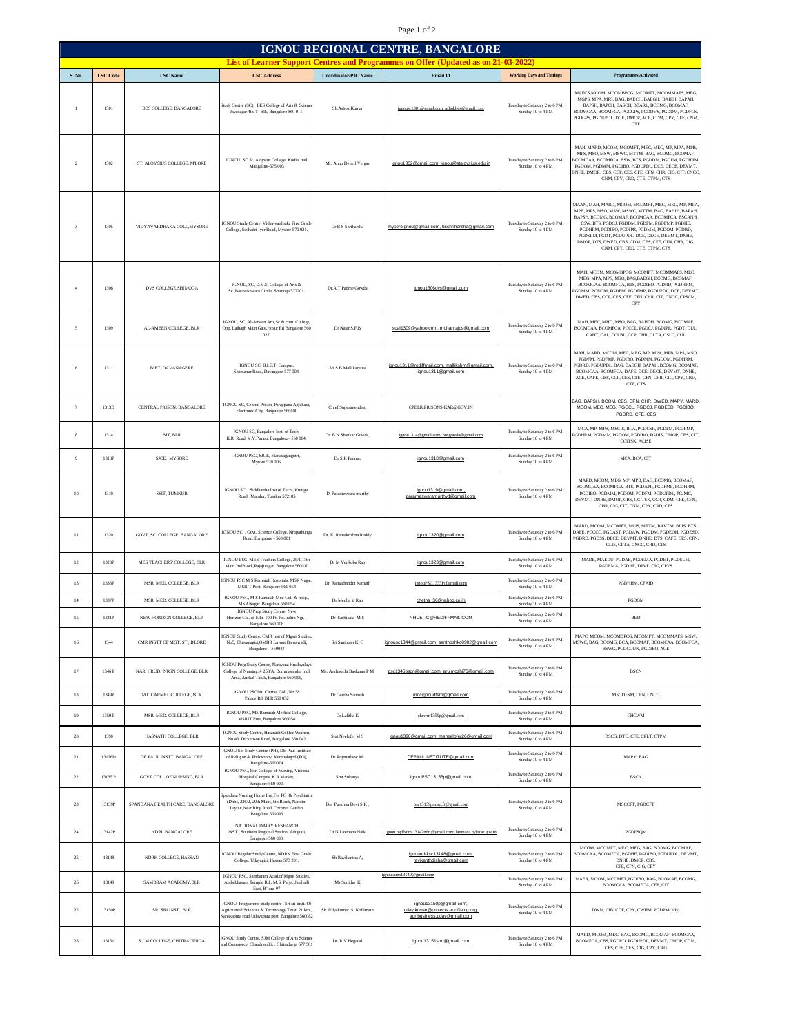## Page 1 of 2

| IGNOU REGIONAL CENTRE, BANGALORE |                 |                                 |                                                                                                                                                             |                             |                                                                                               |                                                                          |                                                                                                                                                                                                                                                                                                                                                                                                |  |  |  |
|----------------------------------|-----------------|---------------------------------|-------------------------------------------------------------------------------------------------------------------------------------------------------------|-----------------------------|-----------------------------------------------------------------------------------------------|--------------------------------------------------------------------------|------------------------------------------------------------------------------------------------------------------------------------------------------------------------------------------------------------------------------------------------------------------------------------------------------------------------------------------------------------------------------------------------|--|--|--|
|                                  |                 |                                 |                                                                                                                                                             |                             | <b>List of Learner Support Centres and Programmes on Offer (Updated as on 21-03-2022)</b>     |                                                                          |                                                                                                                                                                                                                                                                                                                                                                                                |  |  |  |
| S. No.                           | <b>LSC</b> Code | <b>LSC</b> Name                 | <b>LSC Address</b>                                                                                                                                          | <b>Coordinator/PIC Name</b> | <b>Email Id</b>                                                                               | <b>Working Days and Timings</b>                                          | <b>Programmes Activated</b>                                                                                                                                                                                                                                                                                                                                                                    |  |  |  |
| $\mathbf{I}$                     | 1301            | BES COLLEGE, BANGALORE          | Study Centre (SC), BES College of Arts & Scienc<br>Jayanagar 4th'T' Blk, Bangalore 560 011.                                                                 | Sh.Ashok Kumar              | ignousc1301@gmail.com, ashokbes@gmail.com                                                     | Tuesday to Saturday 2 to 6 PM;<br>Sunday 10 to 4 PM                      | MAFCS, MCOM, MCOMBPCG, MCOMFT, MCOMMAFS, MEG,<br>MGPS, MPA, MPS, BAG, BAECH, BAEGH, BAHIH, BAPAH,<br>BAPSH, BAPCH, BASOH, BBARL, BCOMG, BCOMAF,<br>BCOMCAA, BCOMFCA, PGCGPS, PGDDVS, PGDDM, PGDFCS,<br>PGDGPS, PGDUPDL, DCE, DMOP, ACE, CDM, CPY, CFE, CNM<br><b>CTE</b>                                                                                                                       |  |  |  |
| $\overline{2}$                   | 1302            | ST. ALOYSIUS COLLEGE, M'LORE    | IGNOU, SC St. Aloysius College, Kodial bail<br>Mangalore-575 003                                                                                            | Mr. Anup Denzil Veigas      | janou1302@amail.com. janou@stalovsius.edu.in                                                  | Tuesday to Saturday 2 to 6 PM;<br>Sunday 10 to 4 PM                      | MAH, MARD, MCOM, MCOMFT, MEC, MEG, MP, MPA, MPB,<br>MPS, MSO, MSW, MSWC, MTTM, BAG, BCOMG, BCOMAF,<br>COMCAA, BCOMFCA, BSW, BTS, PGDDM, PGDFM, PGDHRM,<br>PGDOM, PGDMM, PGDIBO, PGDUPDL, DCE, DECE, DEVMT,<br>DNHE, DMOP. CBS. CCP. CES. CFE. CFN. CHR. CIG. CIT. CNCC<br>CNM, CPY, CRD, CTE, CTPM, CTS                                                                                        |  |  |  |
| $\overline{\mathbf{3}}$          | 1305            | VIDYAVARDHAKA COLL, MYSORE      | IGNOU Study Centre, Vidya-vardhaka First Grade<br>College, Seshadri Iyer Road, Mysore 570 021.                                                              | Dr B S Shriharsha           | mysoreignou@gmail.com, bsshriharsha@gmail.com                                                 | Tuesday to Saturday 2 to 6 PM:<br>Sunday 10 to 4 PM                      | MAAN, MAH, MARD, MCOM, MCOMFT, MEC, MEG, MP, MPA<br>MPB, MPS, MSO, MSW, MSWC, MTTM, BAG, BAHIH, BAPAH,<br>BAPSH, BCOMG, BCOMAF, BCOMCAA, BCOMFCA, BSCANH,<br>BSW. BTS. PGDCJ. PGDDM. PGDFM. PGDFMP. PGDHE.<br>PGDHRM PGDIRO PGDIPR PGDMM PGDOM PGDRD<br>PGDSLM, PGDT, PGDUPDL, DCE, DECE, DEVMT, DNHE,<br>DMOP, DTS, DWED, CBS, CDM, CES, CFE, CFN, CHR, CIG,<br>CNM, CPY, CRD, CTE, CTPM, CTS |  |  |  |
| $\overline{4}$                   | 1306            | DVS COLLEGE, SHIMOGA            | IGNOU, SC, D.V.S. College of Arts &<br>Sc., Basaveshwara Circle, Shimoga 577201.                                                                            | Dr.A T Padme Gowda          | ignou1306dvs@gmail.com                                                                        | Tuesday to Saturday 2 to 6 PM;<br>Sunday 10 to 4 PM                      | MAH, MCOM, MCOMBPCG, MCOMFT, MCOMMAFS, MEC,<br>MEG. MPA. MPS. MSO. BAG.BAEGH. BCOMG. BCOMAF.<br>BCOMCAA, BCOMFCA, BTS, PGDIBO, PGDRD, PGDHRM,<br>GDMM, PGDOM, PGDFM, PGDFMP, PGDUPDL, DCE, DEVMT<br>DWED, CBS, CCP, CES, CFE, CFN, CHR, CIT, CNCC, CPSCM,<br>CPY                                                                                                                               |  |  |  |
| 5                                | 1309            | AL-AMEEN COLLEGE, BLR           | IGNOU, SC, Al-Ameen Arts, Sc & com. College,<br>Opp. Lalbagh Main Gate, Hosur Rd Bangalore 560<br>027.                                                      | Dr Nasir S.F.B              | scal1309@yahoo.com, mohanrajcs@gmail.com                                                      | Tuesday to Saturday 2 to 6 PM:<br>Sunday 10 to 4 PM                      | MAH, MEC, MHD, MSO, BAG, BAHDH, BCOMG, BCOMAF,<br>BCOMCAA, BCOMFCA, PGCCL, PGDCJ, PGDIPR, PGDT, DUL,<br>CAHT, CAL, CCLBL, CCP, CHR, CLTA, CSLC, CUL                                                                                                                                                                                                                                            |  |  |  |
| 6                                | 1311            | <b>BIET. DAVANAGERE</b>         | IGNOU SC B.I.E.T. Campus,<br>Shamanur Road, Davangere-577 004.                                                                                              | Sri S B Mallikariuna        | ignou1311@rediffmail.com, malliksbm@gmail.com,<br>ignou1311@gmail.com                         | Tuesday to Saturday 2 to 6 PM;<br>Sunday 10 to 4 PM                      | MAH, MARD, MCOM, MEC, MEG, MP, MPA, MPB, MPS, MSO,<br>PGDFM, PGDFMP, PGDIBO, PGDMM, PGDOM, PGDHRM,<br><b>YGDRD, PGDUPDL, BAG, BAEGH, BAPAH, BCOMG, BCOMAF</b><br>BCOMCAA, BCOMFCA, DAFE, DCE, DECE, DEVMT, DNHE,<br>ACE, CAFÉ, CBS, CCP, CES, CFE, CFN, CHR, CIG, CPY, CRD,<br>CTE, CTS                                                                                                        |  |  |  |
| $\overline{7}$                   | 1313D           | CENTRAL PRISON BANGALORE        | IGNOU SC, Central Prison, Parappana Agrahara,<br>Electronic City, Bangalore 560100                                                                          | Chief Superintendent        | CPBLR.PRISONS-KAR@GOV.IN                                                                      |                                                                          | AG, BAPSH, BCOM, CBS, CFN, CHR, DWED, MAPY, MARD<br>MCOM, MEC, MEG, PGCCL, PGDCJ, PGDESD, PGDIBO,<br>PGDRD, CFE, CES                                                                                                                                                                                                                                                                           |  |  |  |
| 8                                | 1314            | BIT, BLR                        | IGNOU SC, Bangalore Inst. of Tech,<br>K.R. Road, V.V.Puram, Bangalore-560 004,                                                                              | Dr. B N Shankar Gowda       | ignou1314@gmail.com, bnsgowda@gmail.com                                                       | Tuesday to Saturday 2 to 6 PM;<br>Sunday 10 to 4 PM                      | MCA, MP, MPB, MSCIS, BCA, PGDCSR, PGDFM, PGDFMP,<br>GDHRM, PGDMM, PGDOM, PGDIBO, PGDIS, DMOP, CBS, CIT<br><b>CCITSK, ACISE</b>                                                                                                                                                                                                                                                                 |  |  |  |
| $\overline{9}$                   | 1318P           | SJCE, MYSORE                    | IGNOU PSC, SJCE, Manasagangotri,<br>Mysore 570 006,                                                                                                         | Dr S K Padma.               | ignou1318@gmail.com                                                                           | Tuesday to Saturday 2 to 6 PM;<br>Sunday 10 to 4 PM                      | MCA, BCA, CIT                                                                                                                                                                                                                                                                                                                                                                                  |  |  |  |
| $10\,$                           | 1319            | SSIT, TUMKUR                    | IGNOU SC, Siddhartha Inst of Tech., Kunigal<br>Road, Maralur, Tumkur 572105                                                                                 | D. Parameswara murthy       | janou1319@amail.com.<br>parameswaramurthyd@gmail.com                                          | Tuesday to Saturday 2 to 6 PM;<br>Sunday 10 to 4 PM                      | MARD, MCOM, MEG, MP, MPB, BAG, BCOMG, BCOMAF,<br>BCOMCAA, BCOMFCA, BTS, PGDAPP, PGDFMP, PGDHRM,<br>PGDIBO, PGDMM, PGDOM, PGDFM, PGDUPDL, PGJMC,<br>DEVMT, DNHE, DMOP, CBS, CCITSK, CCR, CDM, CFE, CFN<br>CHR, CIG, CIT, CNM, CPY, CRD, CTS                                                                                                                                                     |  |  |  |
| 11                               | 1320            | GOVT. SC. COLLEGE, BANGALORE    | IGNOU SC , Govt. Science College, Nrupathungs<br>Road, Bangalore - 560 001                                                                                  | Dr. K. Ramakrishna Reddy    | janou1320@gmail.com                                                                           | Tuesday to Saturday 2 to 6 PM;<br>Sunday 10 to 4 PM                      | MARD, MCOM, MCOMFT, MLIS, MTTM, BAVTM, BLIS, BTS,<br>DAFE, PGCCC, PGDAST, PGDAW, PGDDM, PGDEOH, PGDESD<br>PGDRD, PGDSS, DECE, DEVMT, DNHE, DTS, CAFÉ, CES, CFN,<br>CLIS CLTA CNCC CRD CTS                                                                                                                                                                                                      |  |  |  |
| 12                               | 1323P           | MES TEACHERS' COLLEGE, BLR      | IGNOU PSC, MES Teachers College, 25/1,17th<br>Main 2ndBlock, Rajajinagar, Bangalore 560010                                                                  | Dr M Venkoba Rao            | ignou1323@gmail.com                                                                           | Tuesday to Saturday 2 to 6 PM;<br>Sunday 10 to 4 PM                      | MADE, MAEDU, PGDAE, PGDEMA, PGDET, PGDSLM,<br>PGDEMA, PGDHE, DPVE, CIG, CPVS                                                                                                                                                                                                                                                                                                                   |  |  |  |
| $13\,$                           | 1333F           | MSR. MED. COLLEGE, BLR          | <b>IGNOU PSC M S Ramaiah Hospitals, MSR Nagar</b><br>MSRIT Post, Bangalore 560 054                                                                          | Dr. Ramachandra Kamath      | ignouPSC1333P@gmail.com                                                                       | Tuesday to Saturday 2 to 6 PM;<br>Sunday 10 to 4 PM                      | PGDHHM, CFAID                                                                                                                                                                                                                                                                                                                                                                                  |  |  |  |
| $14\,$                           | 1337P           | MSR. MED. COLLEGE, BLR          | IGNOU PSC, M S Ramaiah Med Coll & hosp.,<br>MSR Nagar Bangalore 560 054                                                                                     | Dr Medha Y Rao              | chetna_36@yahoo.co.in                                                                         | Tuesday to Saturday 2 to 6 PM:<br>Sunday 10 to 4 PM                      | PGDGM                                                                                                                                                                                                                                                                                                                                                                                          |  |  |  |
| 15                               | 1341P           | NEW HORIZON COLLEGE, BLR        | <b>IGNOU Prog Study Centre</b> , New<br>Horizon Col. of Edn. 100 Ft. Rd.Indira Ngr.,                                                                        | Dr Sashikala M S            | NHCE_IC@REDIFFMAIL.COM                                                                        | Tuesday to Saturday 2 to 6 PM;                                           | <b>BED</b>                                                                                                                                                                                                                                                                                                                                                                                     |  |  |  |
| 16                               | 1344            | CMR INSTT OF MGT. ST., BLORE    | Bangalore 560 008<br><b>GNOU Study Centre, CMR Inst of Memt Studies</b><br>No5, Bhuvanagiri, OMBR Layout, Banaswadi.<br>Bangalore - 560043                  | Sri Santhosh K C            | ignousc1344@gmail.com, santhoshkc0902@gmail.com                                               | Sunday 10 to 4 PM<br>Tuesday to Saturday 2 to 6 PM;<br>Sunday 10 to 4 PM | MAPC MCOM MCOMBPCG MCOMET MCOMMAES MSW<br>MSWC, BAG, BCOMG, BCA, BCOMAF, BCOMCAA, BCOMFCA,<br>BSWG, PGDCOUN, PGDIBO, ACE                                                                                                                                                                                                                                                                       |  |  |  |
| $17\,$                           | 1346 P          | NAR. HRUD. NRSN COLLEGE, BLR    | <b>IGNOU Prog.Study Centre</b> , Narayana Hrudayalaya<br>College of Nursing, #258/A, Bommasandra Indl<br>Area, Anekal Taluk, Bangalore 560 099,             | Ms. Arulmozhi Baskaran P M  | psc1346bscn@gmail.com, arulmozhi76@gmail.com                                                  | Tuesday to Saturday 2 to 6 PM;<br>Sunday 10 to 4 PM                      | <b>BSCN</b>                                                                                                                                                                                                                                                                                                                                                                                    |  |  |  |
| $18\,$                           | 1349F           | MT. CARMEL COLLEGE, BLR         | IGNOU PSCMt. Carmel Coll, No.58<br>Palace Rd, BLR 560 052                                                                                                   | Dr Geetha Santosh           | mccignoudfsm@gmail.com                                                                        | Tuesday to Saturday 2 to 6 PM;<br>Sunday 10 to 4 PM                      | MSCDFSM, CFN, CNCC                                                                                                                                                                                                                                                                                                                                                                             |  |  |  |
| 19                               | 1359 P          | MSR. MED. COLLEGE. BLR          | IGNOU PSC, MS Ramaiah Medical College,<br>MSRIT Post, Bangalore 560054                                                                                      | Dr.Lalitha K                | chcwm1359p@gmail.com                                                                          | Tuesday to Saturday 2 to 6 PM;<br>Sunday 10 to 4 PM                      | <b>CHCWM</b>                                                                                                                                                                                                                                                                                                                                                                                   |  |  |  |
| $20\,$                           | 1390            | HASNATH COLLEGE, BLR            | IGNOU Study Centre, Hasanath Col.for Womer<br>No 43, Dickenson Road, Bangalore 560 042                                                                      | Smt Neelofer M S            | ignou1390@gmail.com, msneelofer26@gmail.com                                                   | Tuesday to Saturday 2 to 6 PM;<br>Sunday 10 to 4 PM                      | BSCG, DTG, CFE, CPLT, CTPM                                                                                                                                                                                                                                                                                                                                                                     |  |  |  |
| 21                               | 13126D          | DE PAUL INSTT. BANGALORE        | IGNOU Spl Study Centre (PH), DE Paul Institute<br>of Religion & Philosophy, Kumbalagod (PO),<br>Bangalore-560074                                            | Dr Roymathew M:             | DEPAULINSTITUTE@gmail.com                                                                     | Tuesday to Saturday 2 to 6 PM;<br>Sunday 10 to 4 PM                      | MAPY, BAG                                                                                                                                                                                                                                                                                                                                                                                      |  |  |  |
| $22\,$                           | 13135 P         | GOVT.COLL.OF NURSING, BLR       | IGNOU PSC, Fort College of Nursing, Victoria<br>Hospital Campus, KR Market.<br>Bangalore 560.002                                                            | Smt Sukanya                 | ignouPSC13135p@gmail.com                                                                      | Tuesday to Saturday 2 to 6 PM:<br>Sunday 10 to 4 PM                      | <b>BSCN</b>                                                                                                                                                                                                                                                                                                                                                                                    |  |  |  |
| 23                               | 13139P          | SPANDANA HEALTH CARE, BANGALORE | pandana Nursing Home Inst.For PG & Psychiatri<br>(Dnb), 236/2, 29th Main, 5th Block, Nandini<br>Layout, Near Ring Road, Coconut Garden,<br>Bangalore 560096 | Drr Purnima Devi S K,       | psc13139pm.sccft@gmail.com                                                                    | Tuesday to Saturday 2 to 6 PM;<br>Sunday 10 to 4 PM                      | MSCCFT, PGDCFT                                                                                                                                                                                                                                                                                                                                                                                 |  |  |  |
| $24\,$                           | 13142P          | NDRI, BANGALORE                 | NATIONAL DAIRY RESEARCH<br>INST., Southern Regional Station, Adugudi,<br>Bangalore 560 030.                                                                 | Dr N Laxmana Naik           | ignou.pgdfsqm.13142ndri@gmail.com, laxmana.n@icar.gov.ir                                      | Tuesday to Saturday 2 to 6 PM;<br>Sunday 10 to 4 PM                      | PGDFSQM                                                                                                                                                                                                                                                                                                                                                                                        |  |  |  |
| $25\,$                           | 13148           | NDRK COLLEGE, HASSAN            | IGNOU Regular Study Centre, NDRK First Grad<br>College, Udayagiri, Hassan 573 201,                                                                          | Sh Ravikantha A,            | ignoundrksc13148@gmail.com,<br>ravikanthdisha@gmail.com                                       | Tuesday to Saturday 2 to 6 PM;<br>Sunday 10 to 4 PM                      | MCOM, MCOMFT, MEC, MEG, BAG, BCOMG, BCOMAF,<br>BCOMCAA, BCOMFCA, PGDHE, PGDIBO, PGDUPDL, DEVMT.<br>DNHE, DMOP, CBS,<br>CFE, CFN, CIG, CPY                                                                                                                                                                                                                                                      |  |  |  |
| 26                               | 13149           | SAMBRAM ACADEMY, BLR            | IGNOU PSC, Sambaram Acad.of Mgmt Studies<br>Ambabhavani Temple Rd., M.S. Palya, Jalahalli<br>East, B'lore-97                                                | Ms Sunitha K                | enousams13149@gmail.com                                                                       | Tuesday to Saturday 2 to 6 PM;<br>Sunday 10 to 4 PM                      | MAER, MCOM, MCOMFT, PGDIBO, BAG, BCOMAF, BCOMG,<br>BCOMCAA, BCOMFCA, CFE, CIT                                                                                                                                                                                                                                                                                                                  |  |  |  |
| $27\,$                           | 13150P          | SRI SRI INST., BLR              | IGNOU Programme study centre, Sri sri instt. Of<br>Agricultural Sciences & Technology Trust, 21 km.<br>Canakapura road Udayapura post, Bangalore 56008.     | Sh. Udyakumar S. Kollimath  | ignou13150p@gmail.com,<br>udav.kumar@projects.artofliving.org.<br>agribusiness.uday@gmail.com | Tuesday to Saturday 2 to 6 PM;<br>Sunday 10 to 4 PM                      | DWM, CIB, COF, CPY, CWHM, PGDPM(July)                                                                                                                                                                                                                                                                                                                                                          |  |  |  |
| $\sqrt{28}$                      | 13151           | S J M COLLEGE, CHITRADURGA      | <b>IGNOU Study Centre, SJM College of Arts Scienc</b><br>and Commerce, Chandravalli, , Chitradurga 577 50                                                   | Dr. R V Hegadal             | ignou13151sjm@gmail.com                                                                       | Tuesday to Saturday 2 to 6 PM:<br>Sunday 10 to 4 PM                      | MARD, MCOM, MEG, BAG, BCOMG, BCOMAF, BCOMCAA,<br>BCOMFCA, CBS, PGDRD, PGDUPDL, DEVMT, DMOP, CDM,<br>CES, CFE, CFN, CIG, CPY, CRD                                                                                                                                                                                                                                                               |  |  |  |